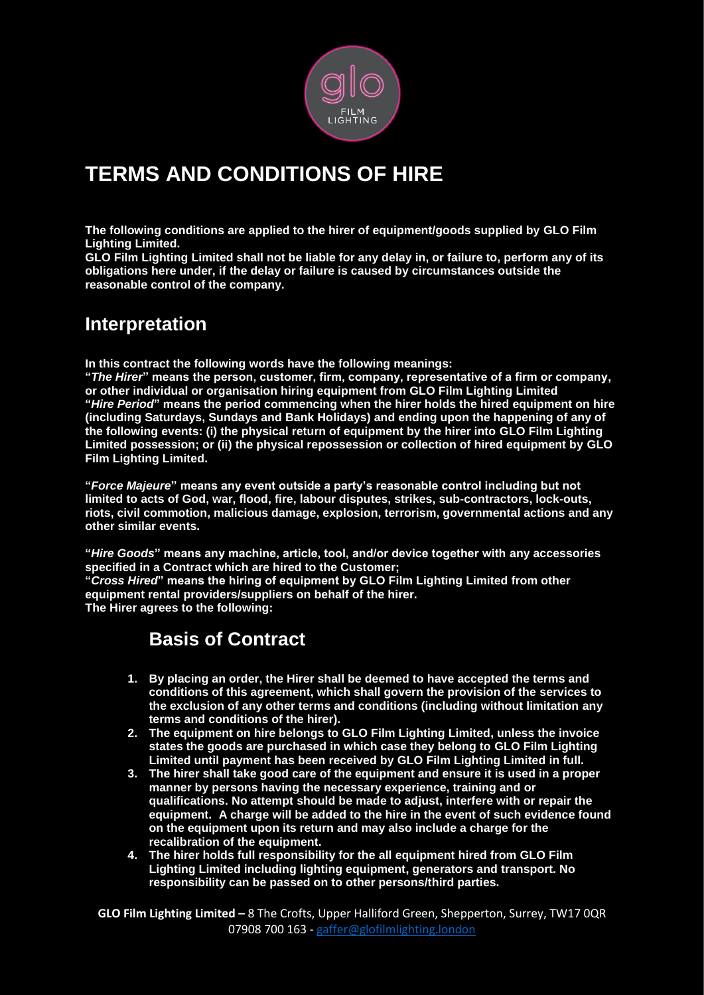

# **TERMS AND CONDITIONS OF HIRE**

**The following conditions are applied to the hirer of equipment/goods supplied by GLO Film Lighting Limited.** 

**GLO Film Lighting Limited shall not be liable for any delay in, or failure to, perform any of its obligations here under, if the delay or failure is caused by circumstances outside the reasonable control of the company.**

### **Interpretation**

**In this contract the following words have the following meanings:**

**"***The Hirer***" means the person, customer, firm, company, representative of a firm or company, or other individual or organisation hiring equipment from GLO Film Lighting Limited "***Hire Period***" means the period commencing when the hirer holds the hired equipment on hire (including Saturdays, Sundays and Bank Holidays) and ending upon the happening of any of the following events: (i) the physical return of equipment by the hirer into GLO Film Lighting Limited possession; or (ii) the physical repossession or collection of hired equipment by GLO Film Lighting Limited.**

**"***Force Majeure***" means any event outside a party's reasonable control including but not limited to acts of God, war, flood, fire, labour disputes, strikes, sub-contractors, lock-outs, riots, civil commotion, malicious damage, explosion, terrorism, governmental actions and any other similar events.**

**"***Hire Goods***" means any machine, article, tool, and/or device together with any accessories specified in a Contract which are hired to the Customer;**

**"***Cross Hired***" means the hiring of equipment by GLO Film Lighting Limited from other equipment rental providers/suppliers on behalf of the hirer.**

**The Hirer agrees to the following:**

#### **Basis of Contract**

- **1. By placing an order, the Hirer shall be deemed to have accepted the terms and conditions of this agreement, which shall govern the provision of the services to the exclusion of any other terms and conditions (including without limitation any terms and conditions of the hirer).**
- **2. The equipment on hire belongs to GLO Film Lighting Limited, unless the invoice states the goods are purchased in which case they belong to GLO Film Lighting Limited until payment has been received by GLO Film Lighting Limited in full.**
- **3. The hirer shall take good care of the equipment and ensure it is used in a proper manner by persons having the necessary experience, training and or qualifications. No attempt should be made to adjust, interfere with or repair the equipment. A charge will be added to the hire in the event of such evidence found on the equipment upon its return and may also include a charge for the recalibration of the equipment.**
- **4. The hirer holds full responsibility for the all equipment hired from GLO Film Lighting Limited including lighting equipment, generators and transport. No responsibility can be passed on to other persons/third parties.**

**GLO Film Lighting Limited –** 8 The Crofts, Upper Halliford Green, Shepperton, Surrey, TW17 0QR 07908 700 163 - [gaffer@glofilmlighting.london](mailto:gaffer@glofilmlighting.london)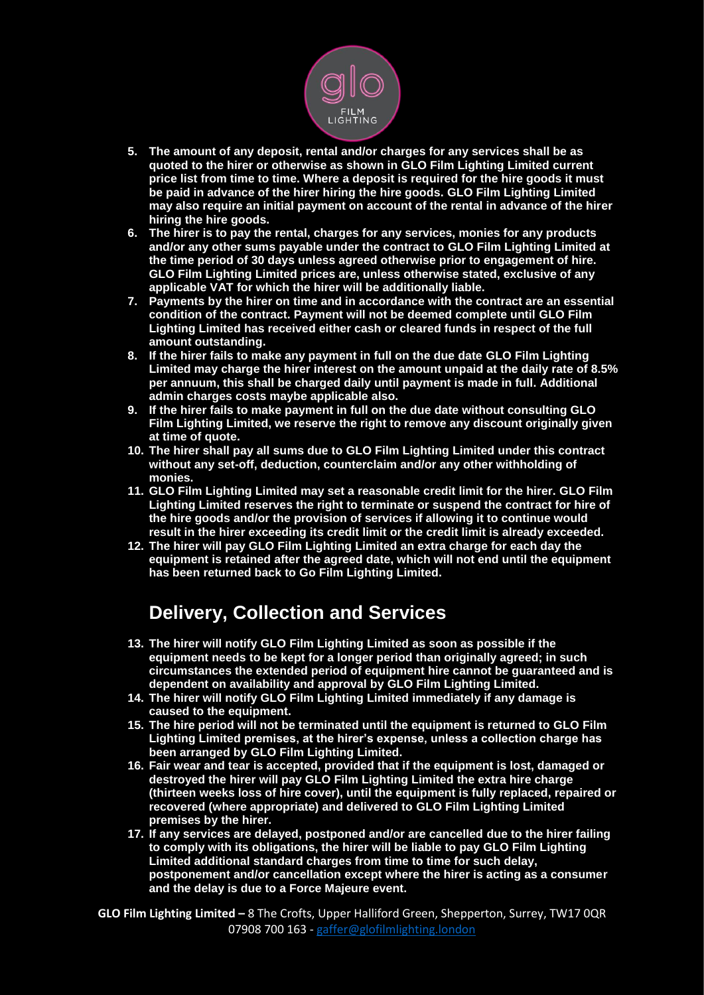

- **5. The amount of any deposit, rental and/or charges for any services shall be as quoted to the hirer or otherwise as shown in GLO Film Lighting Limited current price list from time to time. Where a deposit is required for the hire goods it must be paid in advance of the hirer hiring the hire goods. GLO Film Lighting Limited may also require an initial payment on account of the rental in advance of the hirer hiring the hire goods.**
- **6. The hirer is to pay the rental, charges for any services, monies for any products and/or any other sums payable under the contract to GLO Film Lighting Limited at the time period of 30 days unless agreed otherwise prior to engagement of hire. GLO Film Lighting Limited prices are, unless otherwise stated, exclusive of any applicable VAT for which the hirer will be additionally liable.**
- **7. Payments by the hirer on time and in accordance with the contract are an essential condition of the contract. Payment will not be deemed complete until GLO Film Lighting Limited has received either cash or cleared funds in respect of the full amount outstanding.**
- **8. If the hirer fails to make any payment in full on the due date GLO Film Lighting Limited may charge the hirer interest on the amount unpaid at the daily rate of 8.5% per annuum, this shall be charged daily until payment is made in full. Additional admin charges costs maybe applicable also.**
- **9. If the hirer fails to make payment in full on the due date without consulting GLO Film Lighting Limited, we reserve the right to remove any discount originally given at time of quote.**
- **10. The hirer shall pay all sums due to GLO Film Lighting Limited under this contract without any set-off, deduction, counterclaim and/or any other withholding of monies.**
- **11. GLO Film Lighting Limited may set a reasonable credit limit for the hirer. GLO Film Lighting Limited reserves the right to terminate or suspend the contract for hire of the hire goods and/or the provision of services if allowing it to continue would result in the hirer exceeding its credit limit or the credit limit is already exceeded.**
- **12. The hirer will pay GLO Film Lighting Limited an extra charge for each day the equipment is retained after the agreed date, which will not end until the equipment has been returned back to Go Film Lighting Limited.**

## **Delivery, Collection and Services**

- **13. The hirer will notify GLO Film Lighting Limited as soon as possible if the equipment needs to be kept for a longer period than originally agreed; in such circumstances the extended period of equipment hire cannot be guaranteed and is dependent on availability and approval by GLO Film Lighting Limited.**
- **14. The hirer will notify GLO Film Lighting Limited immediately if any damage is caused to the equipment.**
- **15. The hire period will not be terminated until the equipment is returned to GLO Film Lighting Limited premises, at the hirer's expense, unless a collection charge has been arranged by GLO Film Lighting Limited.**
- **16. Fair wear and tear is accepted, provided that if the equipment is lost, damaged or destroyed the hirer will pay GLO Film Lighting Limited the extra hire charge (thirteen weeks loss of hire cover), until the equipment is fully replaced, repaired or recovered (where appropriate) and delivered to GLO Film Lighting Limited premises by the hirer.**
- **17. If any services are delayed, postponed and/or are cancelled due to the hirer failing to comply with its obligations, the hirer will be liable to pay GLO Film Lighting Limited additional standard charges from time to time for such delay, postponement and/or cancellation except where the hirer is acting as a consumer and the delay is due to a Force Majeure event.**

**GLO Film Lighting Limited –** 8 The Crofts, Upper Halliford Green, Shepperton, Surrey, TW17 0QR 07908 700 163 - [gaffer@glofilmlighting.london](mailto:gaffer@glofilmlighting.london)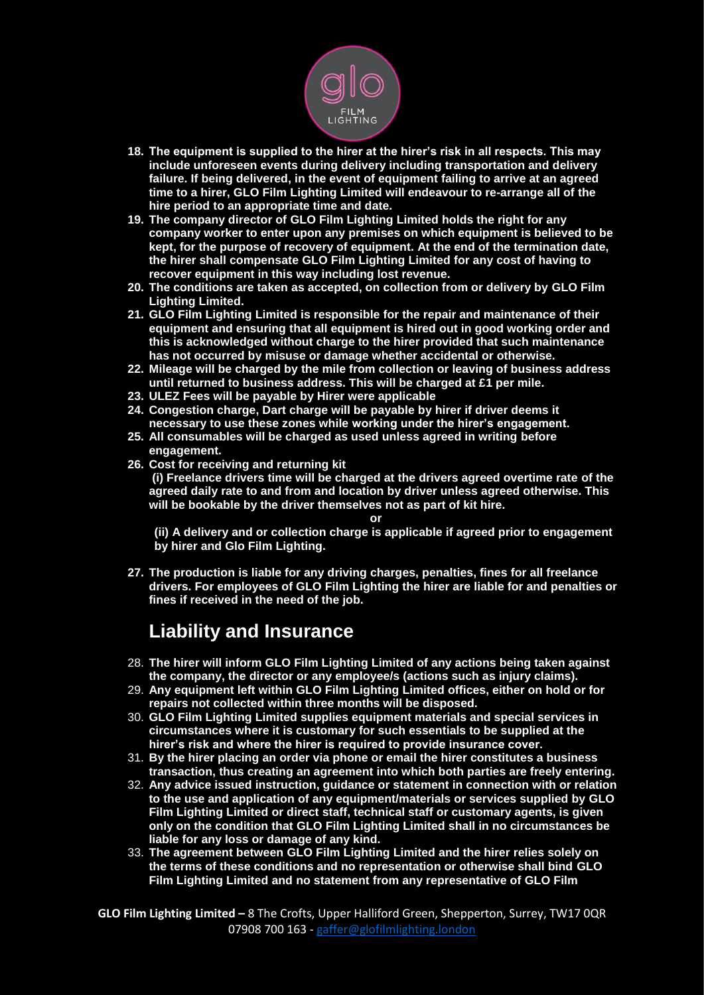

- **18. The equipment is supplied to the hirer at the hirer's risk in all respects. This may include unforeseen events during delivery including transportation and delivery failure. If being delivered, in the event of equipment failing to arrive at an agreed time to a hirer, GLO Film Lighting Limited will endeavour to re-arrange all of the hire period to an appropriate time and date.**
- **19. The company director of GLO Film Lighting Limited holds the right for any company worker to enter upon any premises on which equipment is believed to be kept, for the purpose of recovery of equipment. At the end of the termination date, the hirer shall compensate GLO Film Lighting Limited for any cost of having to recover equipment in this way including lost revenue.**
- **20. The conditions are taken as accepted, on collection from or delivery by GLO Film Lighting Limited.**
- **21. GLO Film Lighting Limited is responsible for the repair and maintenance of their equipment and ensuring that all equipment is hired out in good working order and this is acknowledged without charge to the hirer provided that such maintenance has not occurred by misuse or damage whether accidental or otherwise.**
- **22. Mileage will be charged by the mile from collection or leaving of business address until returned to business address. This will be charged at £1 per mile.**
- **23. ULEZ Fees will be payable by Hirer were applicable**
- **24. Congestion charge, Dart charge will be payable by hirer if driver deems it necessary to use these zones while working under the hirer's engagement.**
- **25. All consumables will be charged as used unless agreed in writing before engagement.**
- **26. Cost for receiving and returning kit (i) Freelance drivers time will be charged at the drivers agreed overtime rate of the agreed daily rate to and from and location by driver unless agreed otherwise. This will be bookable by the driver themselves not as part of kit hire.**

**or**

**(ii) A delivery and or collection charge is applicable if agreed prior to engagement by hirer and Glo Film Lighting.** 

**27. The production is liable for any driving charges, penalties, fines for all freelance drivers. For employees of GLO Film Lighting the hirer are liable for and penalties or fines if received in the need of the job.**

## **Liability and Insurance**

- 28. **The hirer will inform GLO Film Lighting Limited of any actions being taken against the company, the director or any employee/s (actions such as injury claims).**
- 29. **Any equipment left within GLO Film Lighting Limited offices, either on hold or for repairs not collected within three months will be disposed.**
- 30. **GLO Film Lighting Limited supplies equipment materials and special services in circumstances where it is customary for such essentials to be supplied at the hirer's risk and where the hirer is required to provide insurance cover.**
- 31. **By the hirer placing an order via phone or email the hirer constitutes a business transaction, thus creating an agreement into which both parties are freely entering.**
- 32. **Any advice issued instruction, guidance or statement in connection with or relation to the use and application of any equipment/materials or services supplied by GLO Film Lighting Limited or direct staff, technical staff or customary agents, is given only on the condition that GLO Film Lighting Limited shall in no circumstances be liable for any loss or damage of any kind.**
- 33. **The agreement between GLO Film Lighting Limited and the hirer relies solely on the terms of these conditions and no representation or otherwise shall bind GLO Film Lighting Limited and no statement from any representative of GLO Film**

**GLO Film Lighting Limited –** 8 The Crofts, Upper Halliford Green, Shepperton, Surrey, TW17 0QR 07908 700 163 - [gaffer@glofilmlighting.london](mailto:gaffer@glofilmlighting.london)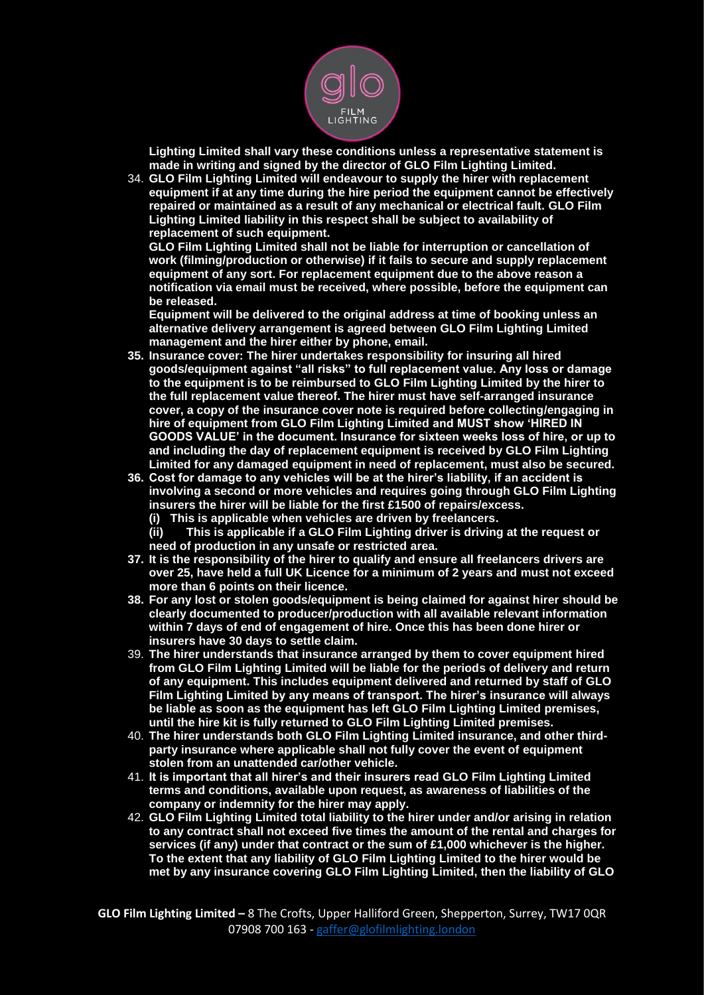

**Lighting Limited shall vary these conditions unless a representative statement is made in writing and signed by the director of GLO Film Lighting Limited.**

34. **GLO Film Lighting Limited will endeavour to supply the hirer with replacement equipment if at any time during the hire period the equipment cannot be effectively repaired or maintained as a result of any mechanical or electrical fault. GLO Film Lighting Limited liability in this respect shall be subject to availability of replacement of such equipment.** 

**GLO Film Lighting Limited shall not be liable for interruption or cancellation of work (filming/production or otherwise) if it fails to secure and supply replacement equipment of any sort. For replacement equipment due to the above reason a notification via email must be received, where possible, before the equipment can be released.** 

**Equipment will be delivered to the original address at time of booking unless an alternative delivery arrangement is agreed between GLO Film Lighting Limited management and the hirer either by phone, email.**

- **35. Insurance cover: The hirer undertakes responsibility for insuring all hired goods/equipment against "all risks" to full replacement value. Any loss or damage to the equipment is to be reimbursed to GLO Film Lighting Limited by the hirer to the full replacement value thereof. The hirer must have self-arranged insurance cover, a copy of the insurance cover note is required before collecting/engaging in hire of equipment from GLO Film Lighting Limited and MUST show 'HIRED IN GOODS VALUE' in the document. Insurance for sixteen weeks loss of hire, or up to and including the day of replacement equipment is received by GLO Film Lighting Limited for any damaged equipment in need of replacement, must also be secured.**
- **36. Cost for damage to any vehicles will be at the hirer's liability, if an accident is involving a second or more vehicles and requires going through GLO Film Lighting insurers the hirer will be liable for the first £1500 of repairs/excess.**
	- **(i) This is applicable when vehicles are driven by freelancers.**
	- **(ii) This is applicable if a GLO Film Lighting driver is driving at the request or need of production in any unsafe or restricted area.**
- **37. It is the responsibility of the hirer to qualify and ensure all freelancers drivers are over 25, have held a full UK Licence for a minimum of 2 years and must not exceed more than 6 points on their licence.**
- **38. For any lost or stolen goods/equipment is being claimed for against hirer should be clearly documented to producer/production with all available relevant information within 7 days of end of engagement of hire. Once this has been done hirer or insurers have 30 days to settle claim.**
- 39. **The hirer understands that insurance arranged by them to cover equipment hired from GLO Film Lighting Limited will be liable for the periods of delivery and return of any equipment. This includes equipment delivered and returned by staff of GLO Film Lighting Limited by any means of transport. The hirer's insurance will always be liable as soon as the equipment has left GLO Film Lighting Limited premises, until the hire kit is fully returned to GLO Film Lighting Limited premises.**
- 40. **The hirer understands both GLO Film Lighting Limited insurance, and other thirdparty insurance where applicable shall not fully cover the event of equipment stolen from an unattended car/other vehicle.**
- 41. **It is important that all hirer's and their insurers read GLO Film Lighting Limited terms and conditions, available upon request, as awareness of liabilities of the company or indemnity for the hirer may apply.**
- 42. **GLO Film Lighting Limited total liability to the hirer under and/or arising in relation to any contract shall not exceed five times the amount of the rental and charges for services (if any) under that contract or the sum of £1,000 whichever is the higher. To the extent that any liability of GLO Film Lighting Limited to the hirer would be met by any insurance covering GLO Film Lighting Limited, then the liability of GLO**